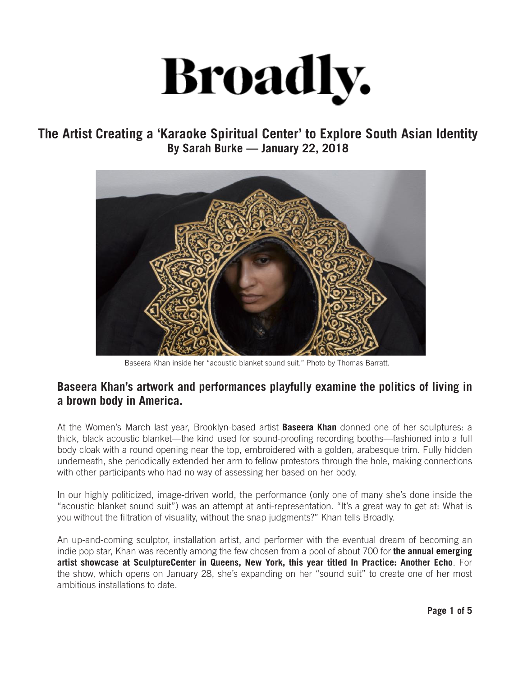## **Broadly.**

## **The Artist Creating a 'Karaoke Spiritual Center' to Explore South Asian Identity By Sarah Burke — January 22, 2018**



Baseera Khan inside her "acoustic blanket sound suit." Photo by Thomas Barratt.

## **Baseera Khan's artwork and performances playfully examine the politics of living in a brown body in America.**

At the Women's March last year, Brooklyn-based artist **Baseera Khan** donned one of her sculptures: a thick, black acoustic blanket—the kind used for sound-proofing recording booths—fashioned into a full body cloak with a round opening near the top, embroidered with a golden, arabesque trim. Fully hidden underneath, she periodically extended her arm to fellow protestors through the hole, making connections with other participants who had no way of assessing her based on her body.

In our highly politicized, image-driven world, the performance (only one of many she's done inside the "acoustic blanket sound suit") was an attempt at anti-representation. "It's a great way to get at: What is you without the filtration of visuality, without the snap judgments?" Khan tells Broadly.

An up-and-coming sculptor, installation artist, and performer with the eventual dream of becoming an indie pop star, Khan was recently among the few chosen from a pool of about 700 for **the annual emerging artist showcase at SculptureCenter in Queens, New York, this year titled In Practice: Another Echo**. For the show, which opens on January 28, she's expanding on her "sound suit" to create one of her most ambitious installations to date.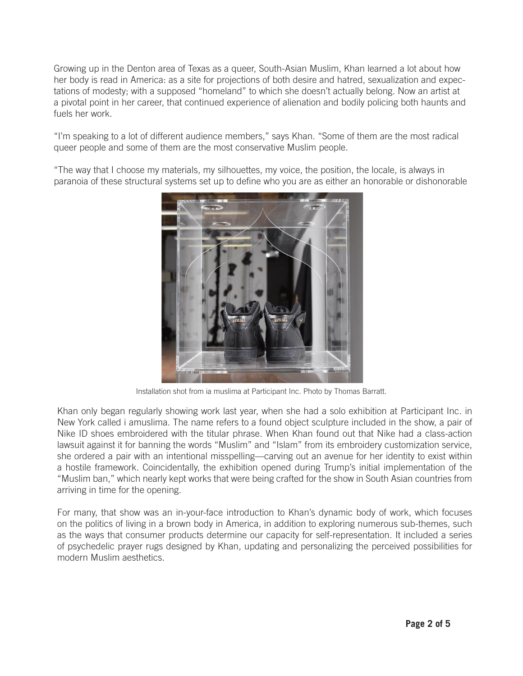Growing up in the Denton area of Texas as a queer, South-Asian Muslim, Khan learned a lot about how her body is read in America: as a site for projections of both desire and hatred, sexualization and expectations of modesty; with a supposed "homeland" to which she doesn't actually belong. Now an artist at a pivotal point in her career, that continued experience of alienation and bodily policing both haunts and fuels her work.

"I'm speaking to a lot of different audience members," says Khan. "Some of them are the most radical queer people and some of them are the most conservative Muslim people.

"The way that I choose my materials, my silhouettes, my voice, the position, the locale, is always in paranoia of these structural systems set up to define who you are as either an honorable or dishonorable



Installation shot from ia muslima at Participant Inc. Photo by Thomas Barratt.

Khan only began regularly showing work last year, when she had a solo exhibition at Participant Inc. in New York called i amuslima. The name refers to a found object sculpture included in the show, a pair of Nike ID shoes embroidered with the titular phrase. When Khan found out that Nike had a class-action lawsuit against it for banning the words "Muslim" and "Islam" from its embroidery customization service, she ordered a pair with an intentional misspelling—carving out an avenue for her identity to exist within a hostile framework. Coincidentally, the exhibition opened during Trump's initial implementation of the "Muslim ban," which nearly kept works that were being crafted for the show in South Asian countries from arriving in time for the opening.

For many, that show was an in-your-face introduction to Khan's dynamic body of work, which focuses on the politics of living in a brown body in America, in addition to exploring numerous sub-themes, such as the ways that consumer products determine our capacity for self-representation. It included a series of psychedelic prayer rugs designed by Khan, updating and personalizing the perceived possibilities for modern Muslim aesthetics.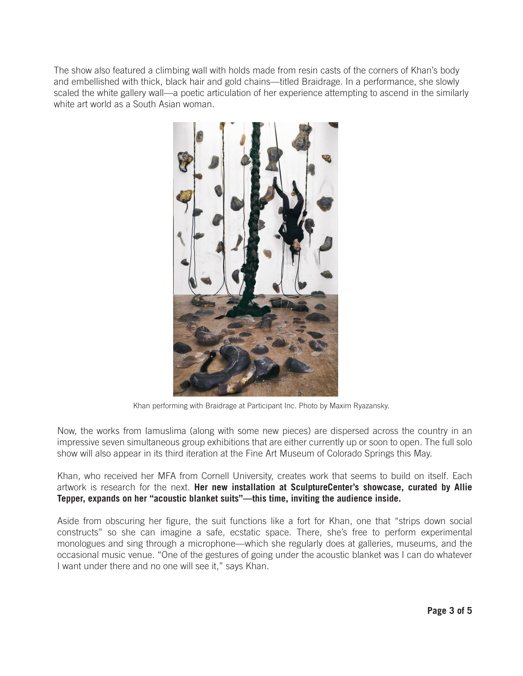The show also featured a climbing wall with holds made from resin casts of the corners of Khan's body and embellished with thick, black hair and gold chains—titled Braidrage. In a performance, she slowly scaled the white gallery wall—a poetic articulation of her experience attempting to ascend in the similarly white art world as a South Asian woman.



Khan performing with Braidrage at Participant Inc. Photo by Maxim Ryazansky.

Now, the works from Iamuslima (along with some new pieces) are dispersed across the country in an impressive seven simultaneous group exhibitions that are either currently up or soon to open. The full solo show will also appear in its third iteration at the Fine Art Museum of Colorado Springs this May.

Khan, who received her MFA from Cornell University, creates work that seems to build on itself. Each artwork is research for the next. **Her new installation at SculptureCenter's showcase, curated by Allie Tepper, expands on her "acoustic blanket suits"—this time, inviting the audience inside.**

Aside from obscuring her figure, the suit functions like a fort for Khan, one that "strips down social constructs" so she can imagine a safe, ecstatic space. There, she's free to perform experimental monologues and sing through a microphone—which she regularly does at galleries, museums, and the occasional music venue. "One of the gestures of going under the acoustic blanket was I can do whatever I want under there and no one will see it," says Khan.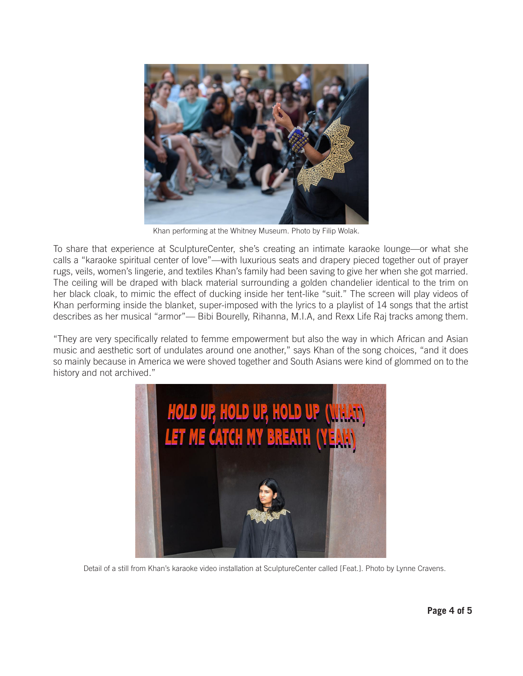

Khan performing at the Whitney Museum. Photo by Filip Wolak.

To share that experience at SculptureCenter, she's creating an intimate karaoke lounge—or what she calls a "karaoke spiritual center of love"—with luxurious seats and drapery pieced together out of prayer rugs, veils, women's lingerie, and textiles Khan's family had been saving to give her when she got married. The ceiling will be draped with black material surrounding a golden chandelier identical to the trim on her black cloak, to mimic the effect of ducking inside her tent-like "suit." The screen will play videos of Khan performing inside the blanket, super-imposed with the lyrics to a playlist of 14 songs that the artist describes as her musical "armor"— Bibi Bourelly, Rihanna, M.I.A, and Rexx Life Raj tracks among them.

"They are very specifically related to femme empowerment but also the way in which African and Asian music and aesthetic sort of undulates around one another," says Khan of the song choices, "and it does so mainly because in America we were shoved together and South Asians were kind of glommed on to the history and not archived."



Detail of a still from Khan's karaoke video installation at SculptureCenter called [Feat.]. Photo by Lynne Cravens.